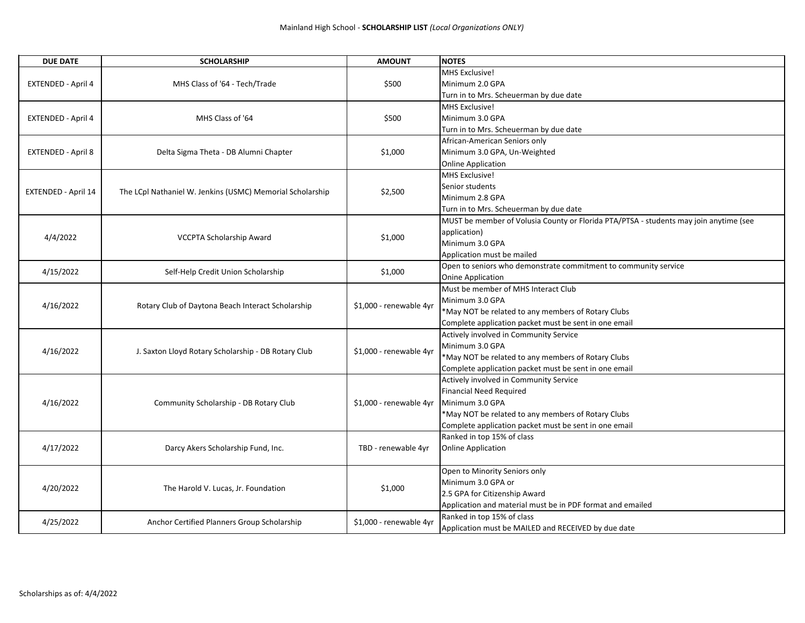| MHS Exclusive!<br>MHS Class of '64 - Tech/Trade<br>\$500<br>Minimum 2.0 GPA<br>EXTENDED - April 4<br>Turn in to Mrs. Scheuerman by due date<br>MHS Exclusive!<br>\$500<br>MHS Class of '64<br>Minimum 3.0 GPA<br>EXTENDED - April 4<br>Turn in to Mrs. Scheuerman by due date |  |
|-------------------------------------------------------------------------------------------------------------------------------------------------------------------------------------------------------------------------------------------------------------------------------|--|
|                                                                                                                                                                                                                                                                               |  |
|                                                                                                                                                                                                                                                                               |  |
|                                                                                                                                                                                                                                                                               |  |
|                                                                                                                                                                                                                                                                               |  |
|                                                                                                                                                                                                                                                                               |  |
|                                                                                                                                                                                                                                                                               |  |
| African-American Seniors only                                                                                                                                                                                                                                                 |  |
| \$1,000<br>Minimum 3.0 GPA, Un-Weighted<br><b>EXTENDED - April 8</b><br>Delta Sigma Theta - DB Alumni Chapter                                                                                                                                                                 |  |
| <b>Online Application</b>                                                                                                                                                                                                                                                     |  |
| MHS Exclusive!                                                                                                                                                                                                                                                                |  |
| Senior students                                                                                                                                                                                                                                                               |  |
| \$2,500<br>EXTENDED - April 14<br>The LCpl Nathaniel W. Jenkins (USMC) Memorial Scholarship<br>Minimum 2.8 GPA                                                                                                                                                                |  |
| Turn in to Mrs. Scheuerman by due date                                                                                                                                                                                                                                        |  |
| MUST be member of Volusia County or Florida PTA/PTSA - students may join anytime (see                                                                                                                                                                                         |  |
| application)                                                                                                                                                                                                                                                                  |  |
| 4/4/2022<br>\$1,000<br>VCCPTA Scholarship Award<br>Minimum 3.0 GPA                                                                                                                                                                                                            |  |
| Application must be mailed                                                                                                                                                                                                                                                    |  |
| Open to seniors who demonstrate commitment to community service                                                                                                                                                                                                               |  |
| 4/15/2022<br>Self-Help Credit Union Scholarship<br>\$1,000<br><b>Onine Application</b>                                                                                                                                                                                        |  |
| Must be member of MHS Interact Club                                                                                                                                                                                                                                           |  |
| Minimum 3.0 GPA                                                                                                                                                                                                                                                               |  |
| 4/16/2022<br>\$1,000 - renewable 4yr<br>Rotary Club of Daytona Beach Interact Scholarship<br>*May NOT be related to any members of Rotary Clubs                                                                                                                               |  |
| Complete application packet must be sent in one email                                                                                                                                                                                                                         |  |
| Actively involved in Community Service                                                                                                                                                                                                                                        |  |
| Minimum 3.0 GPA                                                                                                                                                                                                                                                               |  |
| 4/16/2022<br>J. Saxton Lloyd Rotary Scholarship - DB Rotary Club<br>\$1,000 - renewable 4yr<br>*May NOT be related to any members of Rotary Clubs                                                                                                                             |  |
| Complete application packet must be sent in one email                                                                                                                                                                                                                         |  |
| Actively involved in Community Service                                                                                                                                                                                                                                        |  |
| <b>Financial Need Required</b>                                                                                                                                                                                                                                                |  |
| 4/16/2022<br>Community Scholarship - DB Rotary Club<br>\$1,000 - renewable 4yr<br>Minimum 3.0 GPA                                                                                                                                                                             |  |
| *May NOT be related to any members of Rotary Clubs                                                                                                                                                                                                                            |  |
| Complete application packet must be sent in one email                                                                                                                                                                                                                         |  |
| Ranked in top 15% of class                                                                                                                                                                                                                                                    |  |
| 4/17/2022<br>Darcy Akers Scholarship Fund, Inc.<br>TBD - renewable 4yr<br><b>Online Application</b>                                                                                                                                                                           |  |
|                                                                                                                                                                                                                                                                               |  |
| Open to Minority Seniors only                                                                                                                                                                                                                                                 |  |
| Minimum 3.0 GPA or                                                                                                                                                                                                                                                            |  |
| 4/20/2022<br>\$1,000<br>The Harold V. Lucas, Jr. Foundation<br>2.5 GPA for Citizenship Award                                                                                                                                                                                  |  |
| Application and material must be in PDF format and emailed                                                                                                                                                                                                                    |  |
| Ranked in top 15% of class                                                                                                                                                                                                                                                    |  |
| 4/25/2022<br>Anchor Certified Planners Group Scholarship<br>\$1,000 - renewable 4yr<br>Application must be MAILED and RECEIVED by due date                                                                                                                                    |  |